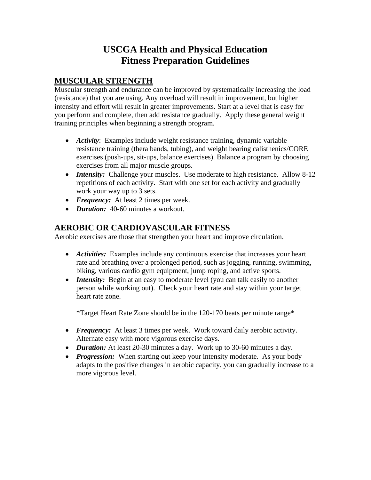# **USCGA Health and Physical Education Fitness Preparation Guidelines**

# **MUSCULAR STRENGTH**

Muscular strength and endurance can be improved by systematically increasing the load (resistance) that you are using. Any overload will result in improvement, but higher intensity and effort will result in greater improvements. Start at a level that is easy for you perform and complete, then add resistance gradually. Apply these general weight training principles when beginning a strength program.

- *Activity*: Examples include weight resistance training, dynamic variable resistance training (thera bands, tubing), and weight bearing calisthenics/CORE exercises (push-ups, sit-ups, balance exercises). Balance a program by choosing exercises from all major muscle groups.
- *Intensity:* Challenge your muscles. Use moderate to high resistance. Allow 8-12 repetitions of each activity. Start with one set for each activity and gradually work your way up to 3 sets.
- *Frequency:* At least 2 times per week.
- • *Duration:* 40-60 minutes a workout.

# **AEROBIC OR CARDIOVASCULAR FITNESS**

Aerobic exercises are those that strengthen your heart and improve circulation.

- *Activities:* Examples include any continuous exercise that increases your heart rate and breathing over a prolonged period, such as jogging, running, swimming, biking, various cardio gym equipment, jump roping, and active sports.
- *Intensity:* Begin at an easy to moderate level (you can talk easily to another person while working out). Check your heart rate and stay within your target heart rate zone.

\*Target Heart Rate Zone should be in the 120-170 beats per minute range\*

- *Frequency:* At least 3 times per week. Work toward daily aerobic activity. Alternate easy with more vigorous exercise days.
- *Duration:* At least 20-30 minutes a day. Work up to 30-60 minutes a day.
- *Progression:* When starting out keep your intensity moderate. As your body adapts to the positive changes in aerobic capacity, you can gradually increase to a more vigorous level.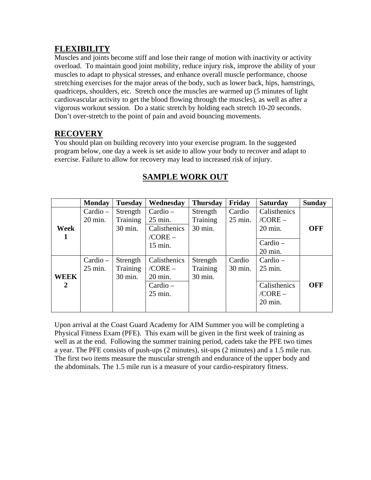### **FLEXIBILITY**

Muscles and joints become stiff and lose their range of motion with inactivity or activity overload. To maintain good joint mobility, reduce injury risk, improve the ability of your muscles to adapt to physical stresses, and enhance overall muscle performance, choose stretching exercises for the major areas of the body, such as lower back, hips, hamstrings, quadriceps, shoulders, etc. Stretch once the muscles are warmed up (5 minutes of light cardiovascular activity to get the blood flowing through the muscles), as well as after a vigorous workout session. Do a static stretch by holding each stretch 10-20 seconds. Don't over-stretch to the point of pain and avoid bouncing movements.

### **RECOVERY**

You should plan on building recovery into your exercise program. In the suggested program below, one day a week is set aside to allow your body to recover and adapt to exercise. Failure to allow for recovery may lead to increased risk of injury.

|             | <b>Monday</b> | <b>Tuesday</b> | Wednesday         | <b>Thursday</b> | Friday  | <b>Saturday</b>   | <b>Sunday</b> |
|-------------|---------------|----------------|-------------------|-----------------|---------|-------------------|---------------|
|             | $Cardio -$    | Strength       | Cardio –          | Strength        | Cardio  | Calisthenics      |               |
|             | 20 min.       | Training       | 25 min.           | Training        | 25 min. | $/CORE -$         |               |
| Week        |               | 30 min.        | Calisthenics      | 30 min.         |         | 20 min.           | <b>OFF</b>    |
| 1           |               |                | $/CORE -$         |                 |         |                   |               |
|             |               |                | 15 min.           |                 |         | $Cardio -$        |               |
|             |               |                |                   |                 |         | 20 min.           |               |
|             | $Cardio -$    | Strength       | Calisthenics      | Strength        | Cardio  | $Cardio -$        |               |
|             | 25 min.       | Training       | $/CORE -$         | Training        | 30 min. | $25 \text{ min.}$ |               |
| <b>WEEK</b> |               | 30 min.        | $20 \text{ min.}$ | 30 min.         |         |                   |               |
| 2           |               |                | Cardio –          |                 |         | Calisthenics      | <b>OFF</b>    |
|             |               |                | 25 min.           |                 |         | $/CORE -$         |               |
|             |               |                |                   |                 |         | $20 \text{ min.}$ |               |
|             |               |                |                   |                 |         |                   |               |

# **SAMPLE WORK OUT**

Upon arrival at the Coast Guard Academy for AIM Summer you will be completing a Physical Fitness Exam (PFE). This exam will be given in the first week of training as well as at the end. Following the summer training period, cadets take the PFE two times a year. The PFE consists of push-ups (2 minutes), sit-ups (2 minutes) and a 1.5 mile run. The first two items measure the muscular strength and endurance of the upper body and the abdominals. The 1.5 mile run is a measure of your cardio-respiratory fitness.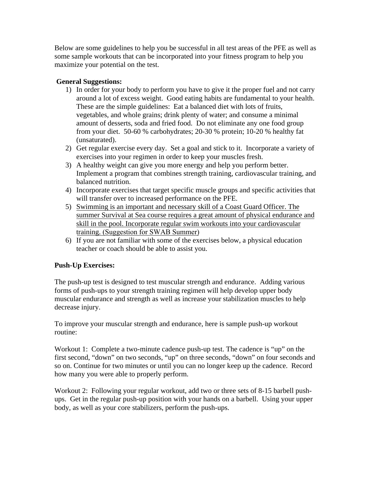Below are some guidelines to help you be successful in all test areas of the PFE as well as some sample workouts that can be incorporated into your fitness program to help you maximize your potential on the test.

#### **General Suggestions:**

- 1) In order for your body to perform you have to give it the proper fuel and not carry around a lot of excess weight. Good eating habits are fundamental to your health. These are the simple guidelines: Eat a balanced diet with lots of fruits, vegetables, and whole grains; drink plenty of water; and consume a minimal amount of desserts, soda and fried food. Do not eliminate any one food group from your diet. 50-60 % carbohydrates; 20-30 % protein; 10-20 % healthy fat (unsaturated).
- 2) Get regular exercise every day. Set a goal and stick to it. Incorporate a variety of exercises into your regimen in order to keep your muscles fresh.
- 3) A healthy weight can give you more energy and help you perform better. Implement a program that combines strength training, cardiovascular training, and balanced nutrition.
- 4) Incorporate exercises that target specific muscle groups and specific activities that will transfer over to increased performance on the PFE.
- 5) Swimming is an important and necessary skill of a Coast Guard Officer. The summer Survival at Sea course requires a great amount of physical endurance and skill in the pool. Incorporate regular swim workouts into your cardiovascular training. (Suggestion for SWAB Summer)
- 6) If you are not familiar with some of the exercises below, a physical education teacher or coach should be able to assist you.

#### **Push-Up Exercises:**

The push-up test is designed to test muscular strength and endurance. Adding various forms of push-ups to your strength training regimen will help develop upper body muscular endurance and strength as well as increase your stabilization muscles to help decrease injury.

To improve your muscular strength and endurance, here is sample push-up workout routine:

Workout 1: Complete a two-minute cadence push-up test. The cadence is "up" on the first second, "down" on two seconds, "up" on three seconds, "down" on four seconds and so on. Continue for two minutes or until you can no longer keep up the cadence. Record how many you were able to properly perform.

Workout 2: Following your regular workout, add two or three sets of 8-15 barbell pushups. Get in the regular push-up position with your hands on a barbell. Using your upper body, as well as your core stabilizers, perform the push-ups.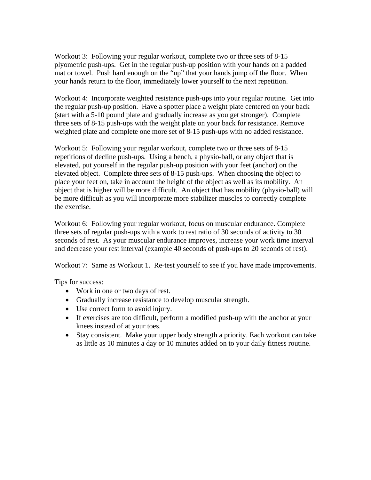Workout 3: Following your regular workout, complete two or three sets of 8-15 plyometric push-ups. Get in the regular push-up position with your hands on a padded mat or towel. Push hard enough on the "up" that your hands jump off the floor. When your hands return to the floor, immediately lower yourself to the next repetition.

Workout 4: Incorporate weighted resistance push-ups into your regular routine. Get into the regular push-up position. Have a spotter place a weight plate centered on your back (start with a 5-10 pound plate and gradually increase as you get stronger). Complete three sets of 8-15 push-ups with the weight plate on your back for resistance. Remove weighted plate and complete one more set of 8-15 push-ups with no added resistance.

Workout 5: Following your regular workout, complete two or three sets of 8-15 repetitions of decline push-ups. Using a bench, a physio-ball, or any object that is elevated, put yourself in the regular push-up position with your feet (anchor) on the elevated object. Complete three sets of 8-15 push-ups. When choosing the object to place your feet on, take in account the height of the object as well as its mobility. An object that is higher will be more difficult. An object that has mobility (physio-ball) will be more difficult as you will incorporate more stabilizer muscles to correctly complete the exercise.

Workout 6: Following your regular workout, focus on muscular endurance. Complete three sets of regular push-ups with a work to rest ratio of 30 seconds of activity to 30 seconds of rest. As your muscular endurance improves, increase your work time interval and decrease your rest interval (example 40 seconds of push-ups to 20 seconds of rest).

Workout 7: Same as Workout 1. Re-test yourself to see if you have made improvements.

Tips for success:

- Work in one or two days of rest.
- Gradually increase resistance to develop muscular strength.
- Use correct form to avoid injury.
- If exercises are too difficult, perform a modified push-up with the anchor at your knees instead of at your toes.
- Stay consistent. Make your upper body strength a priority. Each workout can take as little as 10 minutes a day or 10 minutes added on to your daily fitness routine.